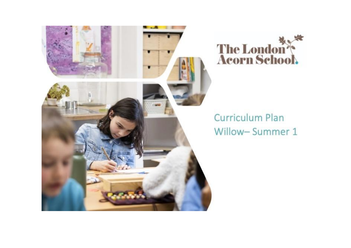



## **Curriculum Plan** Willow-Summer 1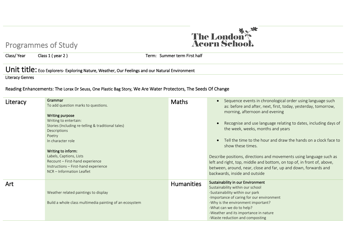## Programmes of Study

Class/ Year Class 1 (year 2 ) Term: Summer term First half

## Unit title: Eco Explorers- Exploring Nature, Weather, Our Feelings and our Natural Environment

Literacy Genres

## Reading Enhancements: The Lorax Dr Seuss, One Plastic Bag Story, We Are Water Protectors, The Seeds Of Change

| Literacy | Grammar<br>To add question marks to questions.<br>Writing purpose<br>Writing to entertain:<br>Stories (Including re-telling & traditional tales)<br>Descriptions<br>Poetry<br>In character role<br>Writing to inform:<br>Labels, Captions, Lists<br>Recount - First-hand experience<br>Instructions - First-hand experience<br>NCR - Information Leaflet | <b>Maths</b>      | Sequence events in chronological order using language such<br>as: before and after, next, first, today, yesterday, tomorrow,<br>morning, afternoon and evening<br>Recognise and use language relating to dates, including days of<br>the week, weeks, months and years<br>Tell the time to the hour and draw the hands on a clock face to<br>show these times.<br>Describe positions, directions and movements using language such as<br>left and right, top, middle and bottom, on top of, in front of, above,<br>between, around, near, close and far, up and down, forwards and<br>backwards, inside and outside |
|----------|----------------------------------------------------------------------------------------------------------------------------------------------------------------------------------------------------------------------------------------------------------------------------------------------------------------------------------------------------------|-------------------|---------------------------------------------------------------------------------------------------------------------------------------------------------------------------------------------------------------------------------------------------------------------------------------------------------------------------------------------------------------------------------------------------------------------------------------------------------------------------------------------------------------------------------------------------------------------------------------------------------------------|
| Art      | Weather related paintings to display<br>Build a whole class multimedia painting of an ecosystem                                                                                                                                                                                                                                                          | <b>Humanities</b> | Sustainability in our Environment<br>Sustainability within our school<br>-Sustainability within our park<br>-Importance of caring for our environment<br>-Why is the environment important?<br>-What can we do to help?                                                                                                                                                                                                                                                                                                                                                                                             |
|          |                                                                                                                                                                                                                                                                                                                                                          |                   | -Weather and its importance in nature<br>-Waste reduction and composting                                                                                                                                                                                                                                                                                                                                                                                                                                                                                                                                            |

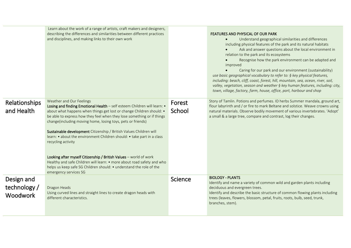|                                               | Learn about the work of a range of artists, craft makers and designers,<br>describing the differences and similarities between different practices<br>and disciplines, and making links to their own work                                                                                                                                                                                                                                                                                                                                                                                                                                                                                                                                  |                  | FEATURES AND PHYSICAL OF OUR PARK<br>Understand geographical similarities and differences<br>$\bullet$<br>including physical features of the park and its natural habitats<br>Ask and answer questions about the local environment in<br>relation to the park and its ecosystems<br>Recognise how the park environment can be adapted and<br>improved<br>Caring for our park and our environment (sustainability)<br>use basic geographical vocabulary to refer to: § key physical features,<br>including: beach, cliff, coast, forest, hill, mountain, sea, ocean, river, soil,<br>valley, vegetation, season and weather § key human features, including: city,<br>town, village, factory, farm, house, office, port, harbour and shop |
|-----------------------------------------------|--------------------------------------------------------------------------------------------------------------------------------------------------------------------------------------------------------------------------------------------------------------------------------------------------------------------------------------------------------------------------------------------------------------------------------------------------------------------------------------------------------------------------------------------------------------------------------------------------------------------------------------------------------------------------------------------------------------------------------------------|------------------|------------------------------------------------------------------------------------------------------------------------------------------------------------------------------------------------------------------------------------------------------------------------------------------------------------------------------------------------------------------------------------------------------------------------------------------------------------------------------------------------------------------------------------------------------------------------------------------------------------------------------------------------------------------------------------------------------------------------------------------|
| Relationships<br>and Health                   | Weather and Our Feelings<br>Losing and finding Emotional Health - self esteem Children will learn: .<br>about what happens when things get lost or change Children should: •<br>be able to express how they feel when they lose something or if things<br>change(including moving home, losing toys, pets or friends)<br>Sustainable development Citizenship / British Values Children will<br>learn: • about the environment Children should: • take part in a class<br>recycling activity<br>Looking after myself Citizenship / British Values - world of work<br>Healthy and safe Children will learn: • more about road safety and who<br>helps us keep safe SG Children should: • understand the role of the<br>emergency services SG | Forest<br>School | Story of Tamlin. Potions and perfumes. ID herbs Summer mandala, ground art,<br>flour labyrinth and / or fire to mark Beltane and solstice. Weave crowns using<br>natural materials. Observe bodily movement of various invertebrates. 'Adopt'<br>a small & a large tree, compare and contrast, log their changes.                                                                                                                                                                                                                                                                                                                                                                                                                        |
| Design and<br>technology /<br><b>Woodwork</b> | Dragon Heads<br>Using curved lines and straight lines to create dragon heads with<br>different characteristics.                                                                                                                                                                                                                                                                                                                                                                                                                                                                                                                                                                                                                            | Science          | <b>BIOLOGY - PLANTS</b><br>Identify and name a variety of common wild and garden plants including<br>deciduous and evergreen trees.<br>Identify and describe the basic structure of common flowing plants including<br>trees (leaves, flowers, blossom, petal, fruits, roots, bulb, seed, trunk,<br>branches, stem).                                                                                                                                                                                                                                                                                                                                                                                                                     |